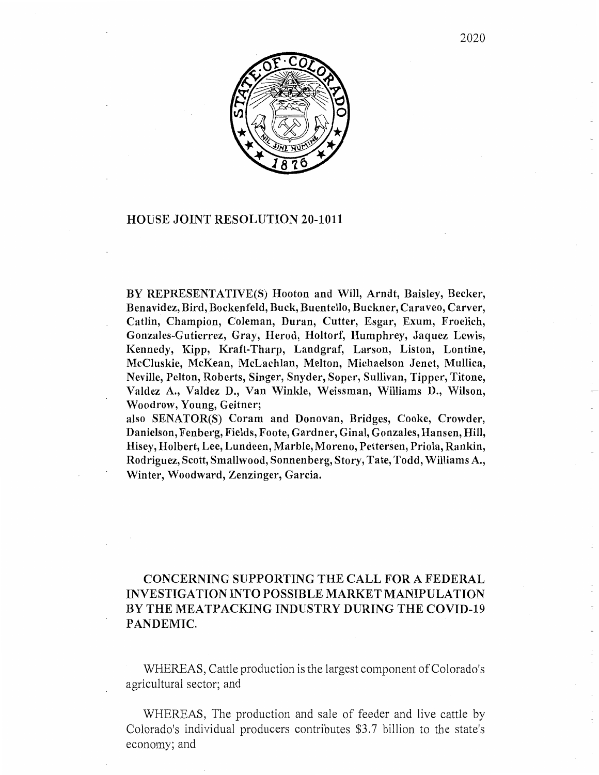

## HOUSE JOINT RESOLUTION 20-1011

BY REPRESENTATIVE(S) Hooton and Will, Arndt, Baisley, Becker, Benavidez, Bird, Bockenfeld, Buck, Buentello, Buckner, Caraveo, Carver, Catlin, Champion, Coleman, Duran, Cutter, Esgar, Exum, Froelich, Gonzales-Gutierrez, Gray, Herod, Holtorf, Humphrey, Jaquez Lewis, Kennedy, Kipp, Kraft-Tharp, Landgraf, Larson, Liston, Lontine, McCluskie, McKean, McLachlan, Melton, Michaelson Jenet, Mullica, Neville, Pelton, Roberts, Singer, Snyder, Soper, Sullivan, Tipper, Titone, Valdez A., Valdez D., Van Winkle, Weissman, Williams D., Wilson, Woodrow, Young, Geitner;

also SENATOR(S) Coram and Donovan, Bridges, Cooke, Crowder, Danielson, Fenberg, Fields, Foote, Gardner, Ginal, Gonzales, Hansen, Hill, Hisey, Holbert, Lee, Lundeen, Marble, Moreno, Pettersen, Priola, Rankin, Rodriguez, Scott, Smallwood, Sonnenberg, Story, Tate, Todd, Williams A., Winter, Woodward, Zenzinger, Garcia.

## CONCERNING SUPPORTING THE CALL FOR A FEDERAL INVESTIGATION INTO POSSIBLE MARKET MANIPULATION BY THE MEATPACKING INDUSTRY DURING THE COVID-19 PANDEMIC.

WHEREAS, Cattle production is the largest component of Colorado's agricultural sector; and

WHEREAS, The production and sale of feeder and live cattle by Colorado's individual producers contributes \$3 .7 billion to the state's economy; and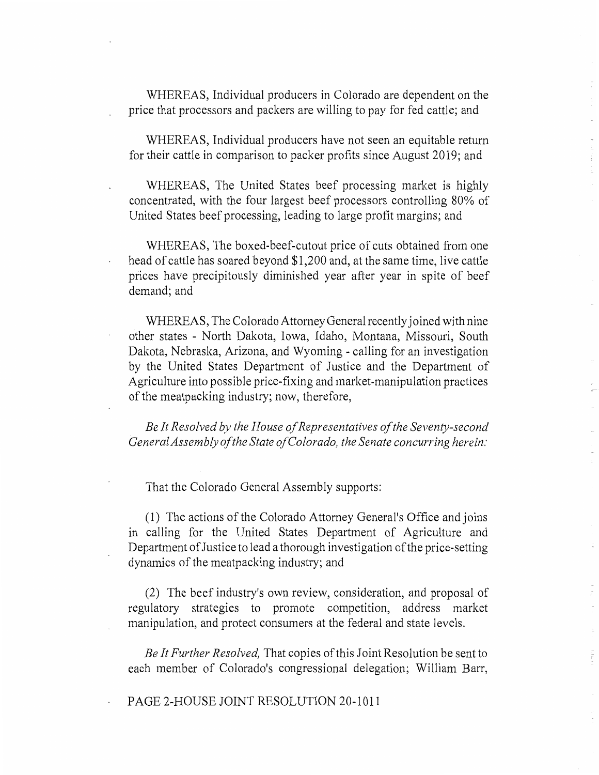WHEREAS, Individual producers in Colorado are dependent on the price that processors and packers are willing to pay for fed cattle; and

WHEREAS, Individual producers have not seen an equitable return for their cattle in comparison to packer profits since August 2019; and

WHEREAS, The United States beef processing market is highly concentrated, with the four largest beef processors controlling 80% of United States beef processing, leading to large profit margins; and

WHEREAS, The boxed-beef-cutout price of cuts obtained from one head of cattle has soared beyond \$1,200 and, at the same time, live cattle prices have precipitously diminished year after year in spite of beef demand; and

WHEREAS, The Colorado Attorney General recently joined with nine other states - North Dakota, Iowa, Idaho, Montana, Missouri, South Dakota, Nebraska, Arizona, and Wyoming - calling for an investigation by the United States Department of Justice and the Department of Agriculture into possible price-fixing and market-manipulation practices of the meatpacking industry; now, therefore,

*Be It Resolved by the House of Representatives of the Seventy-second General Assembly of the State of Colorado, the Senate concurring herein:* 

That the Colorado General Assembly supports:

(1) The actions of the Colorado Attorney General's Office and joins in calling for the United States Department of Agriculture and Department of Justice to lead a thorough investigation of the price-setting dynamics of the meatpacking industry; and

(2) The beef industry's own review, consideration, and proposal of regulatory strategies to promote competition, address market manipulation, and protect consumers at the federal and state levels.

*Be It Further Resolved,* That copies of this Joint Resolution be sent to each member of Colorado's congressional delegation; William Barr,

PAGE 2-HOUSE JOINT RESOLUTION 20-1011